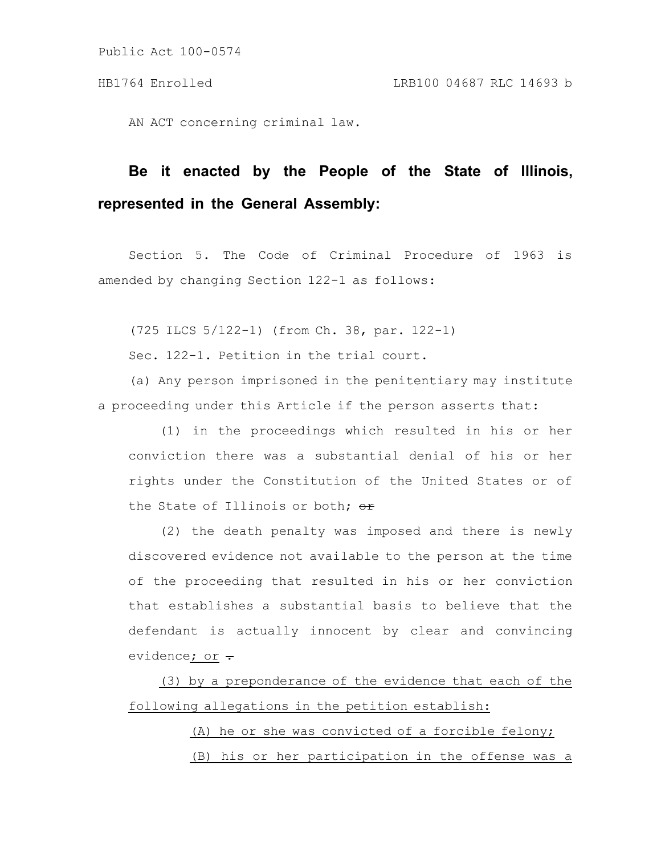AN ACT concerning criminal law.

# **Be it enacted by the People of the State of Illinois, represented in the General Assembly:**

Section 5. The Code of Criminal Procedure of 1963 is amended by changing Section 122-1 as follows:

(725 ILCS 5/122-1) (from Ch. 38, par. 122-1)

Sec. 122-1. Petition in the trial court.

(a) Any person imprisoned in the penitentiary may institute a proceeding under this Article if the person asserts that:

(1) in the proceedings which resulted in his or her conviction there was a substantial denial of his or her rights under the Constitution of the United States or of the State of Illinois or both;  $\Theta$ r

(2) the death penalty was imposed and there is newly discovered evidence not available to the person at the time of the proceeding that resulted in his or her conviction that establishes a substantial basis to believe that the defendant is actually innocent by clear and convincing evidence; or  $\div$ 

(3) by a preponderance of the evidence that each of the following allegations in the petition establish:

> (A) he or she was convicted of a forcible felony; (B) his or her participation in the offense was a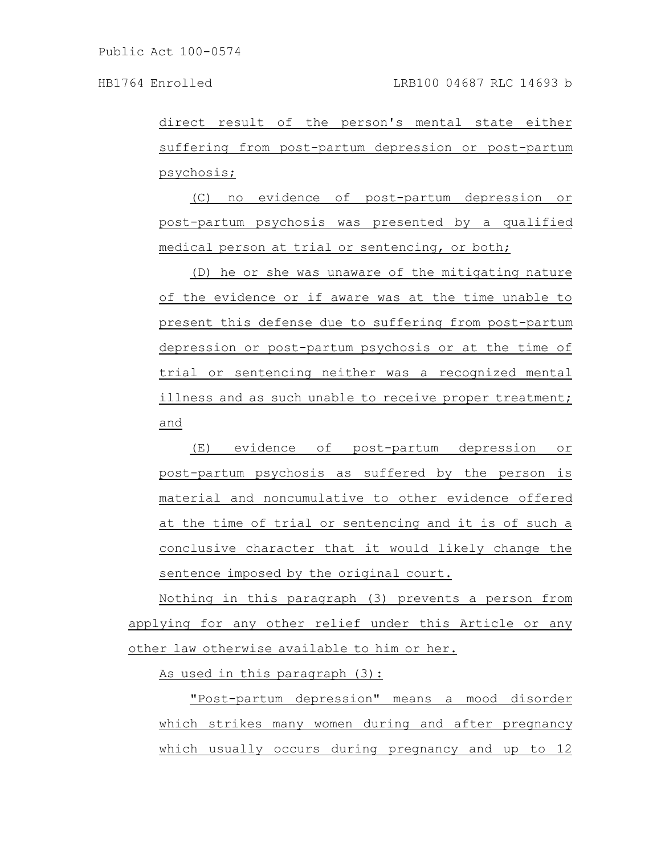direct result of the person's mental state either suffering from post-partum depression or post-partum psychosis;

(C) no evidence of post-partum depression or post-partum psychosis was presented by a qualified medical person at trial or sentencing, or both;

(D) he or she was unaware of the mitigating nature of the evidence or if aware was at the time unable to present this defense due to suffering from post-partum depression or post-partum psychosis or at the time of trial or sentencing neither was a recognized mental illness and as such unable to receive proper treatment; and

(E) evidence of post-partum depression or post-partum psychosis as suffered by the person is material and noncumulative to other evidence offered at the time of trial or sentencing and it is of such a conclusive character that it would likely change the sentence imposed by the original court.

Nothing in this paragraph (3) prevents a person from applying for any other relief under this Article or any other law otherwise available to him or her.

As used in this paragraph (3):

"Post-partum depression" means a mood disorder which strikes many women during and after pregnancy which usually occurs during pregnancy and up to 12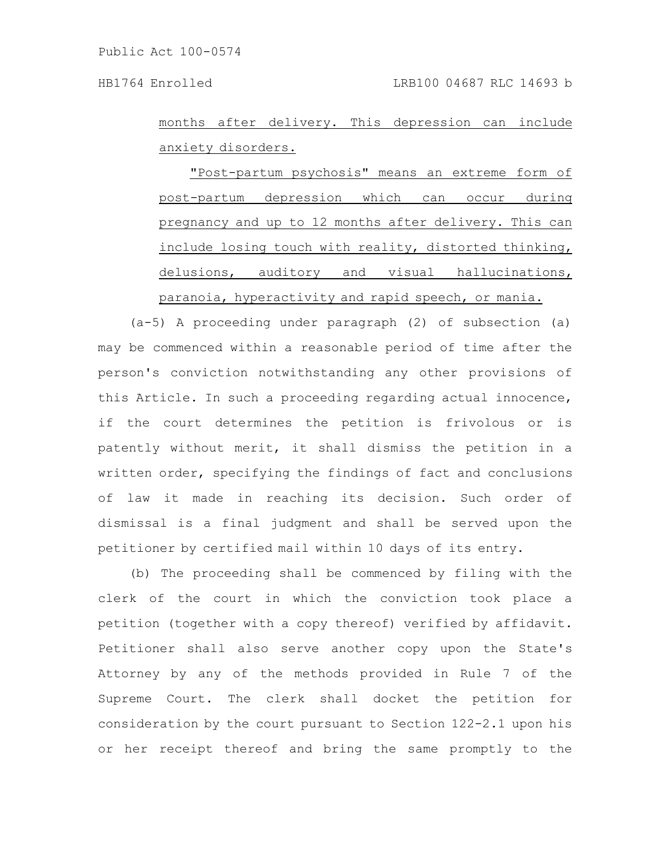months after delivery. This depression can include anxiety disorders.

"Post-partum psychosis" means an extreme form of post-partum depression which can occur during pregnancy and up to 12 months after delivery. This can include losing touch with reality, distorted thinking, delusions, auditory and visual hallucinations, paranoia, hyperactivity and rapid speech, or mania.

(a-5) A proceeding under paragraph (2) of subsection (a) may be commenced within a reasonable period of time after the person's conviction notwithstanding any other provisions of this Article. In such a proceeding regarding actual innocence, if the court determines the petition is frivolous or is patently without merit, it shall dismiss the petition in a written order, specifying the findings of fact and conclusions of law it made in reaching its decision. Such order of dismissal is a final judgment and shall be served upon the petitioner by certified mail within 10 days of its entry.

(b) The proceeding shall be commenced by filing with the clerk of the court in which the conviction took place a petition (together with a copy thereof) verified by affidavit. Petitioner shall also serve another copy upon the State's Attorney by any of the methods provided in Rule 7 of the Supreme Court. The clerk shall docket the petition for consideration by the court pursuant to Section 122-2.1 upon his or her receipt thereof and bring the same promptly to the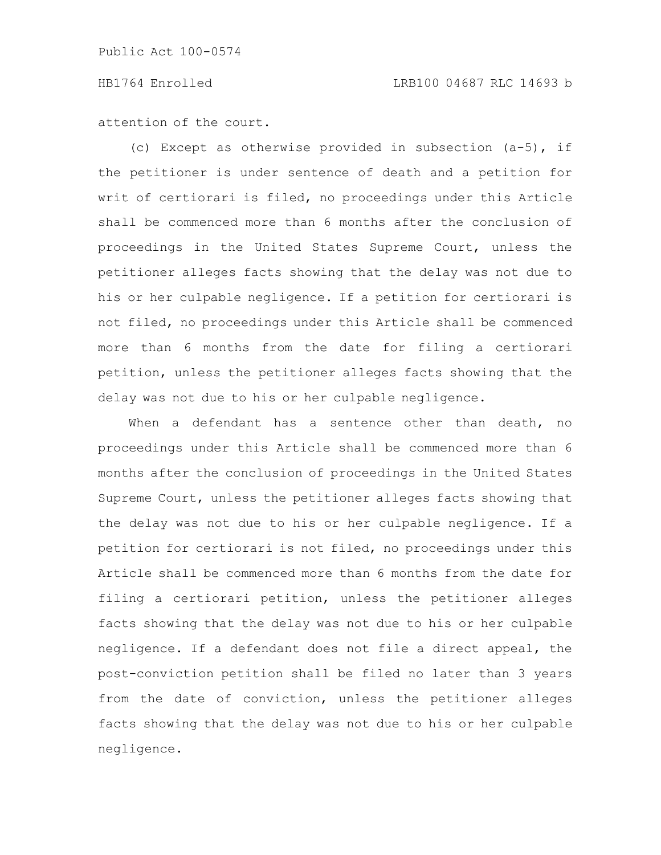### HB1764 Enrolled LRB100 04687 RLC 14693 b

attention of the court.

(c) Except as otherwise provided in subsection (a-5), if the petitioner is under sentence of death and a petition for writ of certiorari is filed, no proceedings under this Article shall be commenced more than 6 months after the conclusion of proceedings in the United States Supreme Court, unless the petitioner alleges facts showing that the delay was not due to his or her culpable negligence. If a petition for certiorari is not filed, no proceedings under this Article shall be commenced more than 6 months from the date for filing a certiorari petition, unless the petitioner alleges facts showing that the delay was not due to his or her culpable negligence.

When a defendant has a sentence other than death, no proceedings under this Article shall be commenced more than 6 months after the conclusion of proceedings in the United States Supreme Court, unless the petitioner alleges facts showing that the delay was not due to his or her culpable negligence. If a petition for certiorari is not filed, no proceedings under this Article shall be commenced more than 6 months from the date for filing a certiorari petition, unless the petitioner alleges facts showing that the delay was not due to his or her culpable negligence. If a defendant does not file a direct appeal, the post-conviction petition shall be filed no later than 3 years from the date of conviction, unless the petitioner alleges facts showing that the delay was not due to his or her culpable negligence.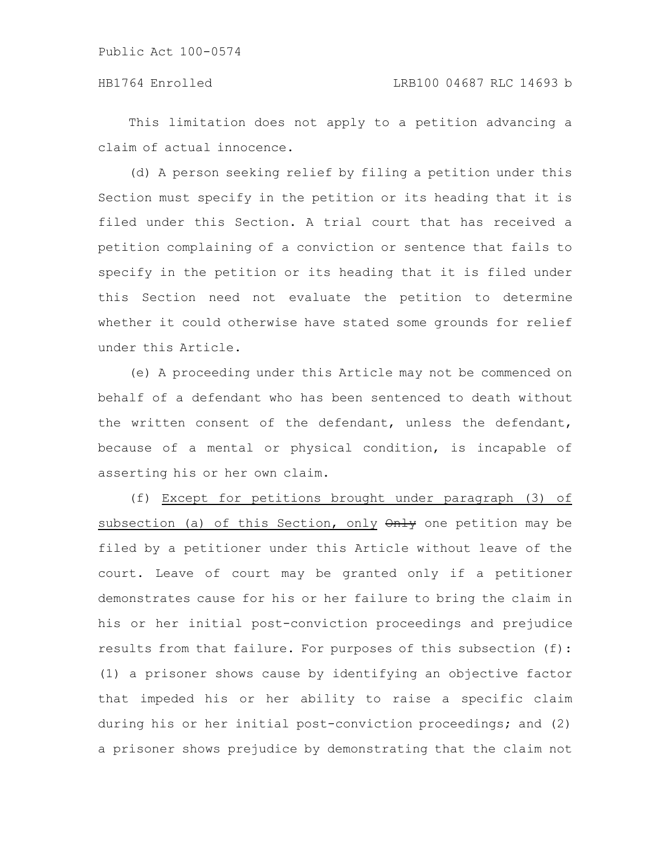This limitation does not apply to a petition advancing a claim of actual innocence.

(d) A person seeking relief by filing a petition under this Section must specify in the petition or its heading that it is filed under this Section. A trial court that has received a petition complaining of a conviction or sentence that fails to specify in the petition or its heading that it is filed under this Section need not evaluate the petition to determine whether it could otherwise have stated some grounds for relief under this Article.

(e) A proceeding under this Article may not be commenced on behalf of a defendant who has been sentenced to death without the written consent of the defendant, unless the defendant, because of a mental or physical condition, is incapable of asserting his or her own claim.

(f) Except for petitions brought under paragraph (3) of subsection (a) of this Section, only  $\theta$ nly one petition may be filed by a petitioner under this Article without leave of the court. Leave of court may be granted only if a petitioner demonstrates cause for his or her failure to bring the claim in his or her initial post-conviction proceedings and prejudice results from that failure. For purposes of this subsection (f): (1) a prisoner shows cause by identifying an objective factor that impeded his or her ability to raise a specific claim during his or her initial post-conviction proceedings; and (2) a prisoner shows prejudice by demonstrating that the claim not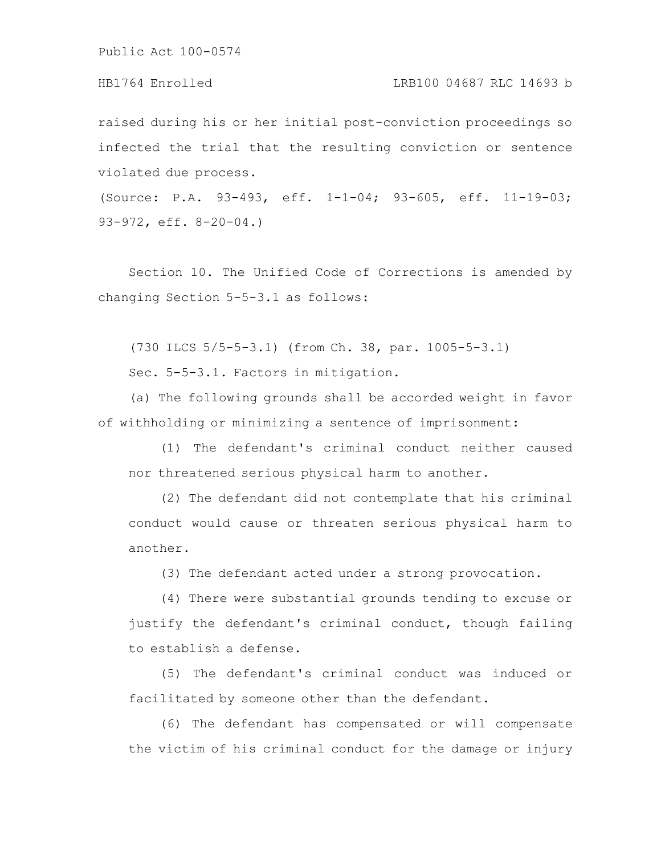### HB1764 Enrolled LRB100 04687 RLC 14693 b

raised during his or her initial post-conviction proceedings so infected the trial that the resulting conviction or sentence violated due process.

(Source: P.A. 93-493, eff. 1-1-04; 93-605, eff. 11-19-03; 93-972, eff. 8-20-04.)

Section 10. The Unified Code of Corrections is amended by changing Section 5-5-3.1 as follows:

(730 ILCS 5/5-5-3.1) (from Ch. 38, par. 1005-5-3.1)

Sec. 5-5-3.1. Factors in mitigation.

(a) The following grounds shall be accorded weight in favor of withholding or minimizing a sentence of imprisonment:

(1) The defendant's criminal conduct neither caused nor threatened serious physical harm to another.

(2) The defendant did not contemplate that his criminal conduct would cause or threaten serious physical harm to another.

(3) The defendant acted under a strong provocation.

(4) There were substantial grounds tending to excuse or justify the defendant's criminal conduct, though failing to establish a defense.

(5) The defendant's criminal conduct was induced or facilitated by someone other than the defendant.

(6) The defendant has compensated or will compensate the victim of his criminal conduct for the damage or injury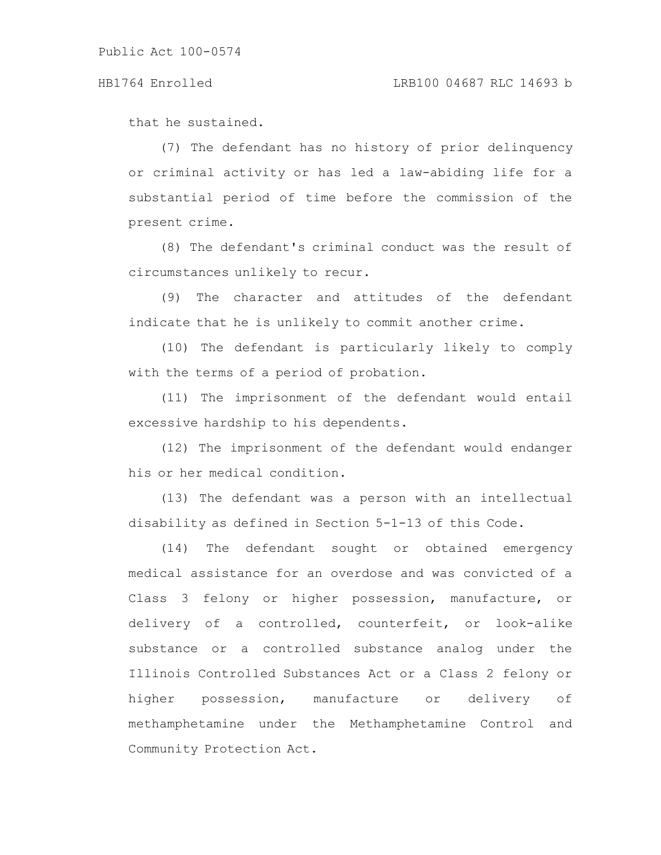that he sustained.

(7) The defendant has no history of prior delinquency or criminal activity or has led a law-abiding life for a substantial period of time before the commission of the present crime.

(8) The defendant's criminal conduct was the result of circumstances unlikely to recur.

(9) The character and attitudes of the defendant indicate that he is unlikely to commit another crime.

(10) The defendant is particularly likely to comply with the terms of a period of probation.

(11) The imprisonment of the defendant would entail excessive hardship to his dependents.

(12) The imprisonment of the defendant would endanger his or her medical condition.

(13) The defendant was a person with an intellectual disability as defined in Section 5-1-13 of this Code.

(14) The defendant sought or obtained emergency medical assistance for an overdose and was convicted of a Class 3 felony or higher possession, manufacture, or delivery of a controlled, counterfeit, or look-alike substance or a controlled substance analog under the Illinois Controlled Substances Act or a Class 2 felony or higher possession, manufacture or delivery of methamphetamine under the Methamphetamine Control and Community Protection Act.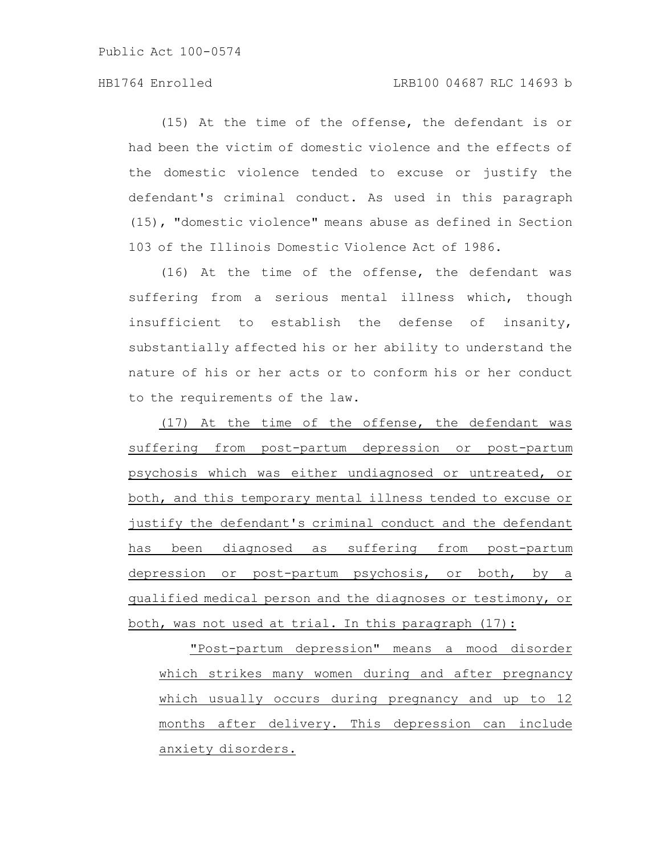## HB1764 Enrolled LRB100 04687 RLC 14693 b

(15) At the time of the offense, the defendant is or had been the victim of domestic violence and the effects of the domestic violence tended to excuse or justify the defendant's criminal conduct. As used in this paragraph (15), "domestic violence" means abuse as defined in Section 103 of the Illinois Domestic Violence Act of 1986.

(16) At the time of the offense, the defendant was suffering from a serious mental illness which, though insufficient to establish the defense of insanity, substantially affected his or her ability to understand the nature of his or her acts or to conform his or her conduct to the requirements of the law.

(17) At the time of the offense, the defendant was suffering from post-partum depression or post-partum psychosis which was either undiagnosed or untreated, or both, and this temporary mental illness tended to excuse or justify the defendant's criminal conduct and the defendant has been diagnosed as suffering from post-partum depression or post-partum psychosis, or both, by a qualified medical person and the diagnoses or testimony, or both, was not used at trial. In this paragraph (17):

"Post-partum depression" means a mood disorder which strikes many women during and after pregnancy which usually occurs during pregnancy and up to 12 months after delivery. This depression can include anxiety disorders.